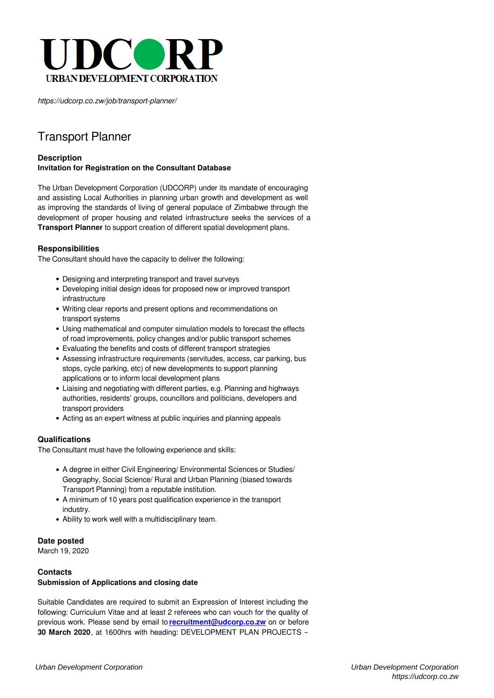

*https://udcorp.co.zw/job/transport-planner/*

# Transport Planner

## **Description Invitation for Registration on the Consultant Database**

The Urban Development Corporation (UDCORP) under its mandate of encouraging and assisting Local Authorities in planning urban growth and development as well as improving the standards of living of general populace of Zimbabwe through the development of proper housing and related infrastructure seeks the services of a **Transport Planner** to support creation of different spatial development plans.

### **Responsibilities**

The Consultant should have the capacity to deliver the following:

- Designing and interpreting transport and travel surveys
- Developing initial design ideas for proposed new or improved transport infrastructure
- Writing clear reports and present options and recommendations on transport systems
- Using mathematical and computer simulation models to forecast the effects of road improvements, policy changes and/or public transport schemes
- Evaluating the benefits and costs of different transport strategies
- Assessing infrastructure requirements (servitudes, access, car parking, bus stops, cycle parking, etc) of new developments to support planning applications or to inform local development plans
- Liaising and negotiating with different parties, e.g. Planning and highways authorities, residents' groups, councillors and politicians, developers and transport providers
- Acting as an expert witness at public inquiries and planning appeals

### **Qualifications**

The Consultant must have the following experience and skills:

- A degree in either Civil Engineering/ Environmental Sciences or Studies/ Geography, Social Science/ Rural and Urban Planning (biased towards Transport Planning) from a reputable institution.
- A minimum of 10 years post qualification experience in the transport industry.
- Ability to work well with a multidisciplinary team.

### **Date posted**

March 19, 2020

#### **Contacts Submission of Applications and closing date**

Suitable Candidates are required to submit an Expression of Interest including the following: Curriculum Vitae and at least 2 referees who can vouch for the quality of previous work. Please send by email to **[recruitment@udcorp.co.zw](mailto:recruitment@udcorp.co.zw)** on or before **30 March 2020**, at 1600hrs with heading: DEVELOPMENT PLAN PROJECTS –